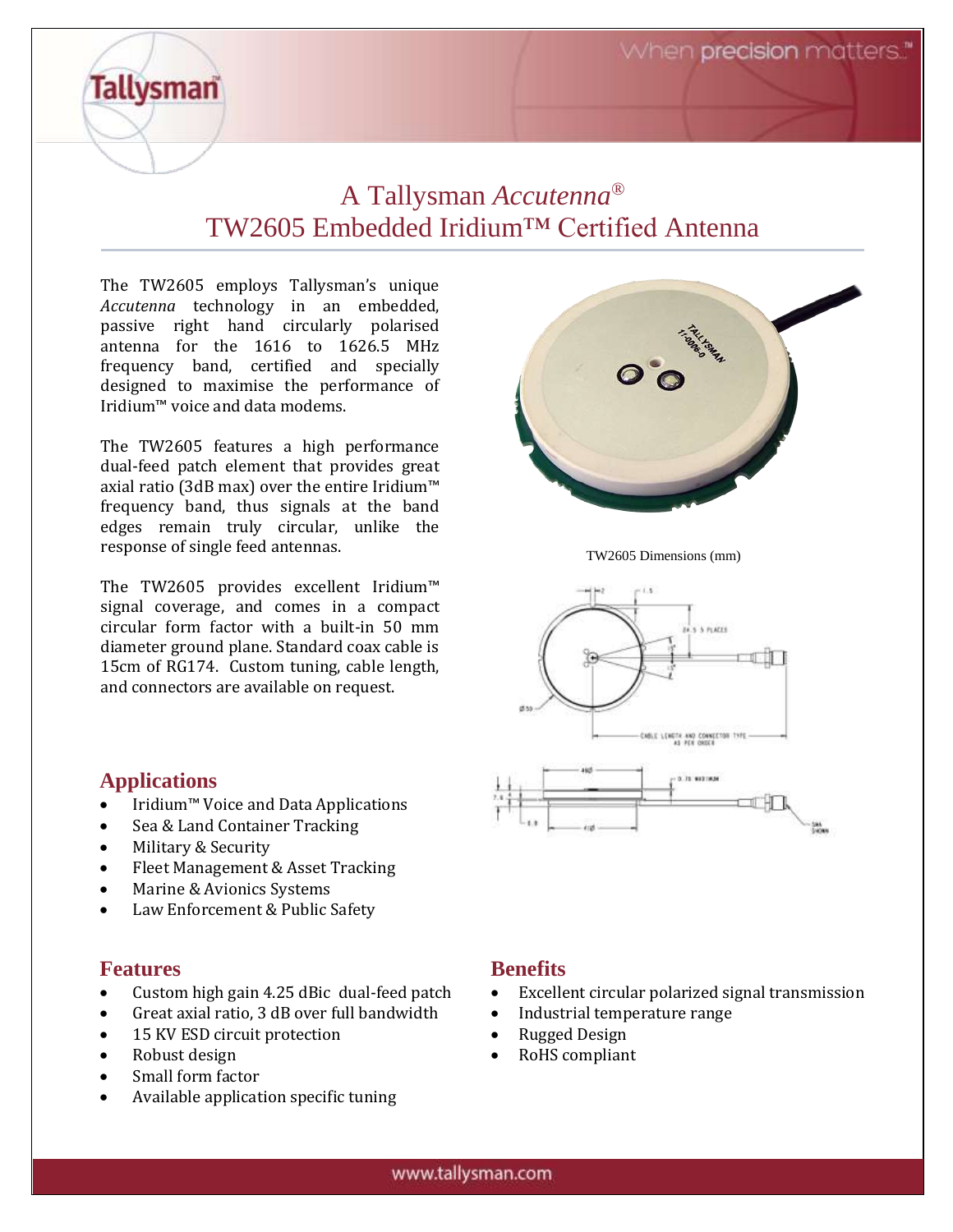## A Tallysman *Accutenna®* TW2605 Embedded Iridium™ Certified Antenna

The TW2605 employs Tallysman's unique *Accutenna* technology in an embedded, passive right hand circularly polarised antenna for the 1616 to 1626.5 MHz frequency band, certified and specially designed to maximise the performance of Iridium™ voice and data modems.

The TW2605 features a high performance dual-feed patch element that provides great axial ratio (3dB max) over the entire Iridium™ frequency band, thus signals at the band edges remain truly circular, unlike the response of single feed antennas.

The TW2605 provides excellent Iridium™ signal coverage, and comes in a compact circular form factor with a built-in 50 mm diameter ground plane. Standard coax cable is 15cm of RG174. Custom tuning, cable length, and connectors are available on request.



TW2605 Dimensions (mm)



#### **Applications**

**Tallysman** 

- Iridium™ Voice and Data Applications
- Sea & Land Container Tracking
- Military & Security
- Fleet Management & Asset Tracking
- Marine & Avionics Systems
- Law Enforcement & Public Safety

#### **Features**

- Custom high gain 4.25 dBic dual-feed patch
- Great axial ratio, 3 dB over full bandwidth
- 15 KV ESD circuit protection
- Robust design
- Small form factor
- Available application specific tuning

#### **Benefits**

- Excellent circular polarized signal transmission
- Industrial temperature range
- Rugged Design
- RoHS compliant